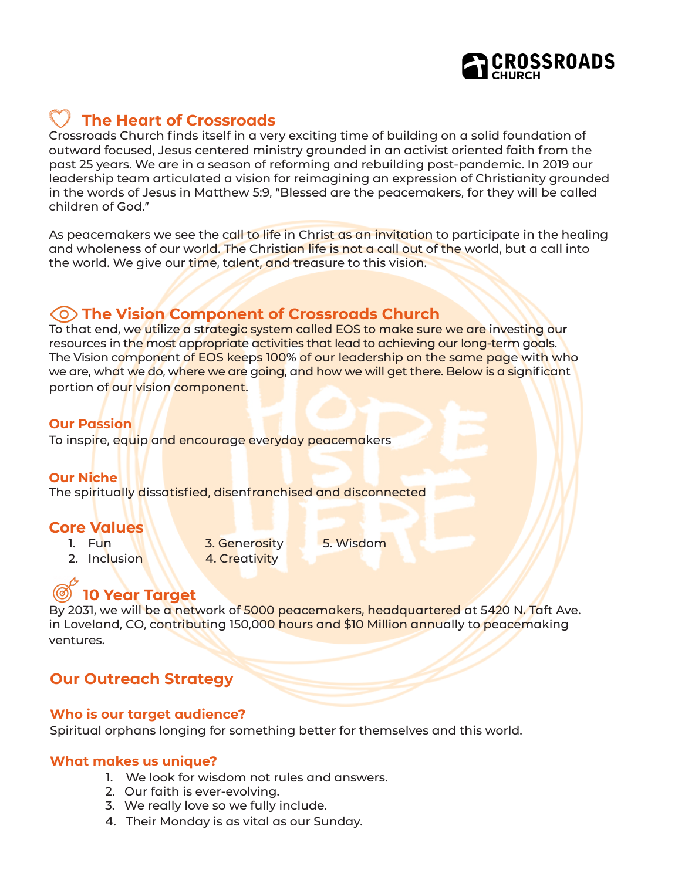

# **The Heart of Crossroads**

Crossroads Church finds itself in a very exciting time of building on a solid foundation of outward focused, Jesus centered ministry grounded in an activist oriented faith from the past 25 years. We are in a season of reforming and rebuilding post-pandemic. In 2019 our leadership team articulated a vision for reimagining an expression of Christianity grounded in the words of Jesus in Matthew 5:9, "Blessed are the peacemakers, for they will be called children of God."

As peacemakers we see the call to life in Christ as an invitation to participate in the healing and wholeness of our world. The Christian life is not a call out of the world, but a call into the world. We give our time, talent, and treasure to this vision.

### **The Vision Component of Crossroads Church**

To that end, we utilize a strategic system called EOS to make sure we are investing our resources in the most appropriate activities that lead to achieving our long-term goals. The Vision component of EOS keeps 100% of our leadership on the same page with who we are, what we do, where we are going, and how we will get there. Below is a significant portion of our vision component.

### **Our Passion**

To inspire, equip and encourage everyday peacemakers

#### **Our Niche**

The spiritually dissatisfied, disenfranchised and disconnected

### **Core Values**

- 
- 2. Inclusion 4. Creativity
- 

1. Fun **3. Generosity** 5. Wisdom

## **10 Year Target**

By 2031, we will be a network of 5000 peacemakers, headquartered at 5420 N. Taft Ave. in Loveland, CO, contributing 150,000 hours and \$10 Million annually to peacemaking ventures.

## **Our Outreach Strategy**

### **Who is our target audience?**

Spiritual orphans longing for something better for themselves and this world.

### **What makes us unique?**

- 1. We look for wisdom not rules and answers.
- 2. Our faith is ever-evolving.
- 3. We really love so we fully include.
- 4. Their Monday is as vital as our Sunday.